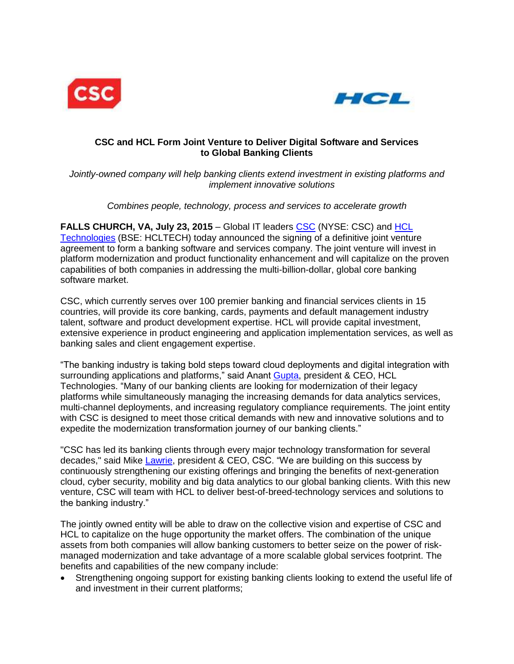



# **CSC and HCL Form Joint Venture to Deliver Digital Software and Services to Global Banking Clients**

*Jointly-owned company will help banking clients extend investment in existing platforms and implement innovative solutions*

*Combines people, technology, process and services to accelerate growth*

**FALLS CHURCH, VA, July 23, 2015** – Global IT leaders [CSC](http://www.csc.com/) (NYSE: CSC) and [HCL](http://www.hcltech.com/)  [Technologies](http://www.hcltech.com/) (BSE: HCLTECH) today announced the signing of a definitive joint venture agreement to form a banking software and services company. The joint venture will invest in platform modernization and product functionality enhancement and will capitalize on the proven capabilities of both companies in addressing the multi-billion-dollar, global core banking software market.

CSC, which currently serves over 100 premier banking and financial services clients in 15 countries, will provide its core banking, cards, payments and default management industry talent, software and product development expertise. HCL will provide capital investment, extensive experience in product engineering and application implementation services, as well as banking sales and client engagement expertise.

"The banking industry is taking bold steps toward cloud deployments and digital integration with surrounding applications and platforms," said Anant [Gupta,](http://www.hcltech.com/about-us/leadership/anant) president & CEO, HCL Technologies. "Many of our banking clients are looking for modernization of their legacy platforms while simultaneously managing the increasing demands for data analytics services, multi-channel deployments, and increasing regulatory compliance requirements. The joint entity with CSC is designed to meet those critical demands with new and innovative solutions and to expedite the modernization transformation journey of our banking clients."

"CSC has led its banking clients through every major technology transformation for several decades," said Mike [Lawrie,](http://www.csc.com/investor_relations/ds/32534/79994-mike_lawrie_biography) president & CEO, CSC. "We are building on this success by continuously strengthening our existing offerings and bringing the benefits of next-generation cloud, cyber security, mobility and big data analytics to our global banking clients. With this new venture, CSC will team with HCL to deliver best-of-breed-technology services and solutions to the banking industry."

The jointly owned entity will be able to draw on the collective vision and expertise of CSC and HCL to capitalize on the huge opportunity the market offers. The combination of the unique assets from both companies will allow banking customers to better seize on the power of riskmanaged modernization and take advantage of a more scalable global services footprint. The benefits and capabilities of the new company include:

 Strengthening ongoing support for existing banking clients looking to extend the useful life of and investment in their current platforms;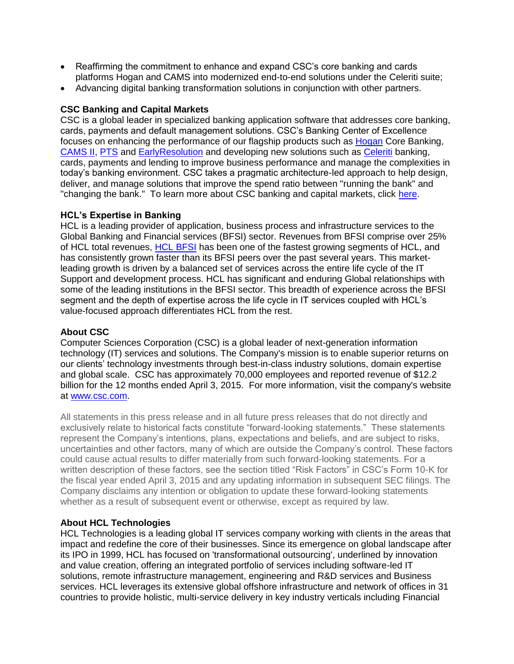- Reaffirming the commitment to enhance and expand CSC's core banking and cards platforms Hogan and CAMS into modernized end-to-end solutions under the Celeriti suite;
- Advancing digital banking transformation solutions in conjunction with other partners.

#### **CSC Banking and Capital Markets**

CSC is a global leader in specialized banking application software that addresses core banking, cards, payments and default management solutions. CSC's Banking Center of Excellence focuses on enhancing the performance of our flagship products such as [Hogan](http://www.csc.com/banking/offerings/11090/48573-hogan_systems) Core Banking, [CAMS II,](http://www.csc.com/banking/offerings/11090/48246-cams_ii_debit_card_system) [PTS](http://www.csc.com/banking/offerings/11090/121405-payments_transaction_system_pts) and [EarlyResolution](http://www.csc.com/banking/offerings/11090/121433-earlyresolution) and developing new solutions such as [Celeriti](http://www.csc.com/banking/offerings/121617/48569-celeriti_enterprise_banking_lending_software) banking, cards, payments and lending to improve business performance and manage the complexities in today's banking environment. CSC takes a pragmatic architecture-led approach to help design, deliver, and manage solutions that improve the spend ratio between "running the bank" and "changing the bank." To learn more about CSC banking and capital markets, click [here.](http://www.csc.com/banking/offerings/11090-banking_software)

#### **HCL's Expertise in Banking**

HCL is a leading provider of application, business process and infrastructure services to the Global Banking and Financial services (BFSI) sector. Revenues from BFSI comprise over 25% of HCL total revenues, [HCL BFSI](http://www.hcltech.com/financial-services) has been one of the fastest growing segments of HCL, and has consistently grown faster than its BFSI peers over the past several years. This marketleading growth is driven by a balanced set of services across the entire life cycle of the IT Support and development process. HCL has significant and enduring Global relationships with some of the leading institutions in the BFSI sector. This breadth of experience across the BFSI segment and the depth of expertise across the life cycle in IT services coupled with HCL's value-focused approach differentiates HCL from the rest.

## **About CSC**

Computer Sciences Corporation (CSC) is a global leader of next-generation information technology (IT) services and solutions. The Company's mission is to enable superior returns on our clients' technology investments through best-in-class industry solutions, domain expertise and global scale. CSC has approximately 70,000 employees and reported revenue of \$12.2 billion for the 12 months ended April 3, 2015. For more information, visit the company's website at [www.csc.com.](http://www.csc.com/)

All statements in this press release and in all future press releases that do not directly and exclusively relate to historical facts constitute "forward-looking statements." These statements represent the Company's intentions, plans, expectations and beliefs, and are subject to risks, uncertainties and other factors, many of which are outside the Company's control. These factors could cause actual results to differ materially from such forward-looking statements. For a written description of these factors, see the section titled "Risk Factors" in CSC's Form 10-K for the fiscal year ended April 3, 2015 and any updating information in subsequent SEC filings. The Company disclaims any intention or obligation to update these forward-looking statements whether as a result of subsequent event or otherwise, except as required by law.

#### **About HCL Technologies**

HCL Technologies is a leading global IT services company working with clients in the areas that impact and redefine the core of their businesses. Since its emergence on global landscape after its IPO in 1999, HCL has focused on 'transformational outsourcing', underlined by innovation and value creation, offering an integrated portfolio of services including software-led IT solutions, remote infrastructure management, engineering and R&D services and Business services. HCL leverages its extensive global offshore infrastructure and network of offices in 31 countries to provide holistic, multi-service delivery in key industry verticals including Financial